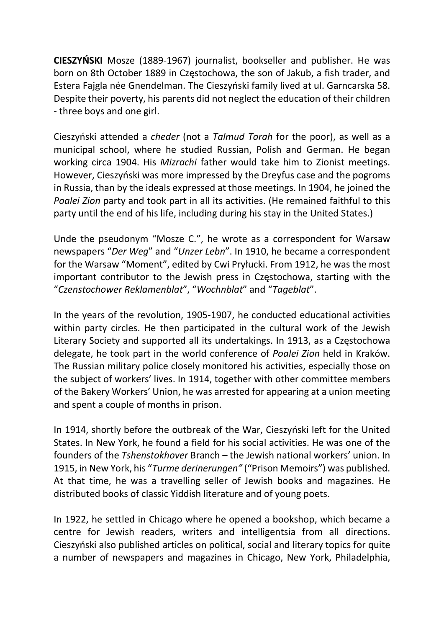CIESZYŃSKI Mosze (1889-1967) journalist, bookseller and publisher. He was born on 8th October 1889 in Częstochowa, the son of Jakub, a fish trader, and Estera Fajgla née Gnendelman. The Cieszyński family lived at ul. Garncarska 58. Despite their poverty, his parents did not neglect the education of their children - three boys and one girl.

Cieszyński attended a cheder (not a Talmud Torah for the poor), as well as a municipal school, where he studied Russian, Polish and German. He began working circa 1904. His Mizrachi father would take him to Zionist meetings. However, Cieszyński was more impressed by the Dreyfus case and the pogroms in Russia, than by the ideals expressed at those meetings. In 1904, he joined the Poalei Zion party and took part in all its activities. (He remained faithful to this party until the end of his life, including during his stay in the United States.)

Unde the pseudonym "Mosze C.", he wrote as a correspondent for Warsaw newspapers "Der Weg" and "Unzer Lebn". In 1910, he became a correspondent for the Warsaw "Moment", edited by Cwi Pryłucki. From 1912, he was the most important contributor to the Jewish press in Częstochowa, starting with the "Czenstochower Reklamenblat", "Wochnblat" and "Tageblat".

In the years of the revolution, 1905-1907, he conducted educational activities within party circles. He then participated in the cultural work of the Jewish Literary Society and supported all its undertakings. In 1913, as a Częstochowa delegate, he took part in the world conference of Poalei Zion held in Kraków. The Russian military police closely monitored his activities, especially those on the subject of workers' lives. In 1914, together with other committee members of the Bakery Workers' Union, he was arrested for appearing at a union meeting and spent a couple of months in prison.

In 1914, shortly before the outbreak of the War, Cieszyński left for the United States. In New York, he found a field for his social activities. He was one of the founders of the Tshenstokhover Branch – the Jewish national workers' union. In 1915, in New York, his "Turme derinerungen" ("Prison Memoirs") was published. At that time, he was a travelling seller of Jewish books and magazines. He distributed books of classic Yiddish literature and of young poets.

In 1922, he settled in Chicago where he opened a bookshop, which became a centre for Jewish readers, writers and intelligentsia from all directions. Cieszyński also published articles on political, social and literary topics for quite a number of newspapers and magazines in Chicago, New York, Philadelphia,